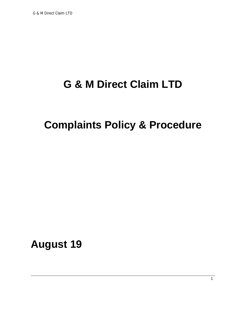# **G & M Direct Claim LTD**

## **Complaints Policy & Procedure**

**August 19**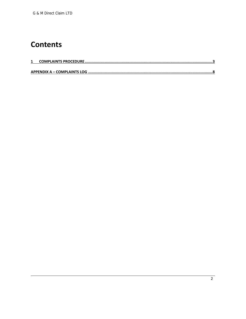### **Contents**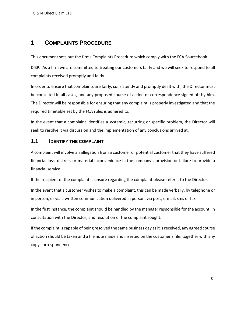#### **1 COMPLAINTS PROCEDURE**

This document sets out the firms Complaints Procedure which comply with the FCA Sourcebook

DISP. As a firm we are committed to treating our customers fairly and we will seek to respond to all complaints received promptly and fairly.

In order to ensure that complaints are fairly, consistently and promptly dealt with, the Director must be consulted in all cases, and any proposed course of action or correspondence signed off by him. The Director will be responsible for ensuring that any complaint is properly investigated and that the required timetable set by the FCA rules is adhered to.

In the event that a complaint identifies a systemic, recurring or specific problem, the Director will seek to resolve it via discussion and the implementation of any conclusions arrived at.

#### **1.1 IDENTIFY THE COMPLAINT**

A complaint will involve an allegation from a customer or potential customer that they have suffered financial loss, distress or material inconvenience in the company's provision or failure to provide a financial service.

If the recipient of the complaint is unsure regarding the complaint please refer it to the Director.

In the event that a customer wishes to make a complaint, this can be made verbally, by telephone or in person, or via a written communication delivered in person, via post, e‐mail, sms or fax.

In the first instance, the complaint should be handled by the manager responsible for the account, in consultation with the Director, and resolution of the complaint sought.

If the complaint is capable of being resolved the same business day as it is received, any agreed course of action should be taken and a file note made and inserted on the customer's file, together with any copy correspondence.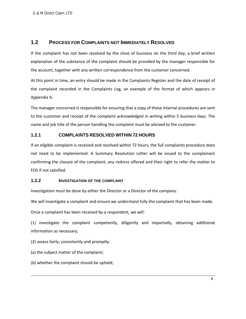#### **1.2 PROCESS FOR COMPLAINTS NOT IMMEDIATELY RESOLVED**

If the complaint has not been resolved by the close of business on the third day, a brief written explanation of the substance of the complaint should be provided by the manager responsible for the account, together with any written correspondence from the customer concerned.

At this point in time, an entry should be made in the Complaints Register and the date of receipt of the complaint recorded in the Complaints Log, an example of the format of which appears in Appendix A.

The manager concerned is responsible for ensuring that a copy of these internal procedures are sent to the customer and receipt of the complaint acknowledged in writing within 5 business days. The name and job title of the person handling the complaint must be advised to the customer.

#### **1.2.1 COMPLAINTS RESOLVED WITHIN 72 HOURS**

If an eligible complaint is received and resolved within 72 hours, the full complaints procedure does not need to be implemented. A Summary Resolution Letter will be issued to the complainant confirming the closure of the complaint, any redress offered and their right to refer the matter to FOS if not satisfied.

#### **1.2.2 INVESTIGATION OF THE COMPLAINT**

Investigation must be done by either the Director or a Director of the company.

We will investigate a complaint and ensure we understand fully the complaint that has been made.

Once a complaint has been received by a respondent, we will:

(1) investigate the complaint competently, diligently and impartially, obtaining additional information as necessary;

(2) assess fairly, consistently and promptly:

(a) the subject matter of the complaint;

(b) whether the complaint should be upheld;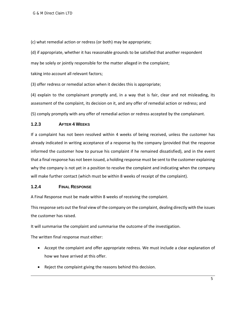(c) what remedial action or redress (or both) may be appropriate;

(d) if appropriate, whether it has reasonable grounds to be satisfied that another respondent

may be solely or jointly responsible for the matter alleged in the complaint;

taking into account all relevant factors;

(3) offer redress or remedial action when it decides this is appropriate;

(4) explain to the complainant promptly and, in a way that is fair, clear and not misleading, its assessment of the complaint, its decision on it, and any offer of remedial action or redress; and

(5) comply promptly with any offer of remedial action or redress accepted by the complainant.

#### **1.2.3 AFTER 4 WEEKS**

If a complaint has not been resolved within 4 weeks of being received, unless the customer has already indicated in writing acceptance of a response by the company (provided that the response informed the customer how to pursue his complaint if he remained dissatisfied), and in the event that a final response has not been issued, a holding response must be sent to the customer explaining why the company is not yet in a position to resolve the complaint and indicating when the company will make further contact (which must be within 8 weeks of receipt of the complaint).

#### **1.2.4 FINAL RESPONSE**

A Final Response must be made within 8 weeks of receiving the complaint.

Thisresponse sets out the final view of the company on the complaint, dealing directly with the issues the customer has raised.

It will summarise the complaint and summarise the outcome of the investigation.

The written final response must either:

- Accept the complaint and offer appropriate redress. We must include a clear explanation of how we have arrived at this offer.
- Reject the complaint giving the reasons behind this decision.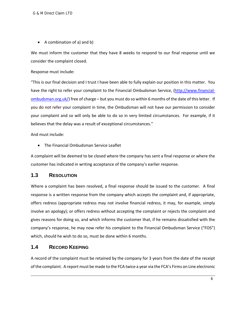• A combination of a) and b)

We must inform the customer that they have 8 weeks to respond to our final response until we consider the complaint closed.

Response must include:

"This is our final decision and I trust I have been able to fully explain our position in this matter. You have the right to refer your complaint to the Financial Ombudsman Service, (http://www.financialombudsman.org.uk/) free of charge – but you must do so within 6 months of the date of thisletter. If you do not refer your complaint in time, the Ombudsman will not have our permission to consider your complaint and so will only be able to do so in very limited circumstances. For example, if it believes that the delay was a result of exceptional circumstances."

And must include:

The Financial Ombudsman Service Leaflet

A complaint will be deemed to be closed where the company has sent a final response or where the customer has indicated in writing acceptance of the company's earlier response.

#### **1.3 RESOLUTION**

Where a complaint has been resolved, a final response should be issued to the customer. A final response is a written response from the company which accepts the complaint and, if appropriate, offers redress (appropriate redress may not involve financial redress, it may, for example, simply involve an apology); or offers redress without accepting the complaint or rejects the complaint and gives reasons for doing so, and which informs the customer that, if he remains dissatisfied with the company's response, he may now refer his complaint to the Financial Ombudsman Service ("FOS") which, should he wish to do so, must be done within 6 months.

#### **1.4 RECORD KEEPING**

A record of the complaint must be retained by the company for 3 years from the date of the receipt of the complaint. A report must be made to the FCA twice a year via the FCA's Firms on Line electronic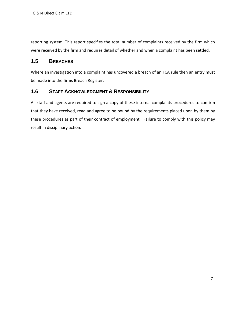reporting system. This report specifies the total number of complaints received by the firm which were received by the firm and requires detail of whether and when a complaint has been settled.

#### **1.5 BREACHES**

Where an investigation into a complaint has uncovered a breach of an FCA rule then an entry must be made into the firms Breach Register.

#### **1.6 STAFF ACKNOWLEDGMENT & RESPONSIBILITY**

All staff and agents are required to sign a copy of these internal complaints procedures to confirm that they have received, read and agree to be bound by the requirements placed upon by them by these procedures as part of their contract of employment. Failure to comply with this policy may result in disciplinary action.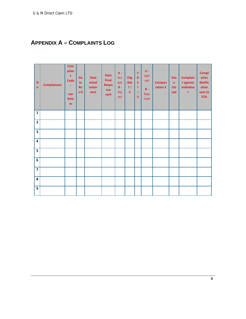### **APPENDIX A - COMPLAINTS LOG**

| N<br>$\mathbf{o}$       | <b>Complainant</b> | Com<br>plain<br>t<br><b>Code</b><br>÷<br>see<br>belo<br>W | Da<br>te<br><b>Re</b><br>c'd | <b>Date</b><br><b>Initial</b><br>Letter<br>sent | <b>Date</b><br><b>Final</b><br><b>Respo</b><br>nse<br>sent | $A -$<br>Acc<br>ept<br>$R -$<br>Rej<br>ect | Elig<br>ible<br>Y /<br>$\mathsf{N}$ | F<br>$\mathbf{o}$<br><sub>S</sub><br>Y<br>$\prime$<br>N <sub>1</sub> | $U -$<br>Uph<br>eld<br>$R -$<br>Reje<br>cted | <b>Compen</b><br>sation £ | Dat<br>$\mathbf{e}$<br><b>Clo</b><br>sed | <b>Complain</b><br>t against<br>Individua<br>т | <b>Compl</b><br>aints<br><b>Notific</b><br>ation<br>sent to<br><b>FCA</b> |
|-------------------------|--------------------|-----------------------------------------------------------|------------------------------|-------------------------------------------------|------------------------------------------------------------|--------------------------------------------|-------------------------------------|----------------------------------------------------------------------|----------------------------------------------|---------------------------|------------------------------------------|------------------------------------------------|---------------------------------------------------------------------------|
| $\mathbf 1$             |                    |                                                           |                              |                                                 |                                                            |                                            |                                     |                                                                      |                                              |                           |                                          |                                                |                                                                           |
| $\overline{\mathbf{2}}$ |                    |                                                           |                              |                                                 |                                                            |                                            |                                     |                                                                      |                                              |                           |                                          |                                                |                                                                           |
| $\overline{\mathbf{3}}$ |                    |                                                           |                              |                                                 |                                                            |                                            |                                     |                                                                      |                                              |                           |                                          |                                                |                                                                           |
| $\overline{4}$          |                    |                                                           |                              |                                                 |                                                            |                                            |                                     |                                                                      |                                              |                           |                                          |                                                |                                                                           |
| 5                       |                    |                                                           |                              |                                                 |                                                            |                                            |                                     |                                                                      |                                              |                           |                                          |                                                |                                                                           |
| $\boldsymbol{6}$        |                    |                                                           |                              |                                                 |                                                            |                                            |                                     |                                                                      |                                              |                           |                                          |                                                |                                                                           |
| $\overline{\mathbf{z}}$ |                    |                                                           |                              |                                                 |                                                            |                                            |                                     |                                                                      |                                              |                           |                                          |                                                |                                                                           |
| 8                       |                    |                                                           |                              |                                                 |                                                            |                                            |                                     |                                                                      |                                              |                           |                                          |                                                |                                                                           |
| 9                       |                    |                                                           |                              |                                                 |                                                            |                                            |                                     |                                                                      |                                              |                           |                                          |                                                |                                                                           |